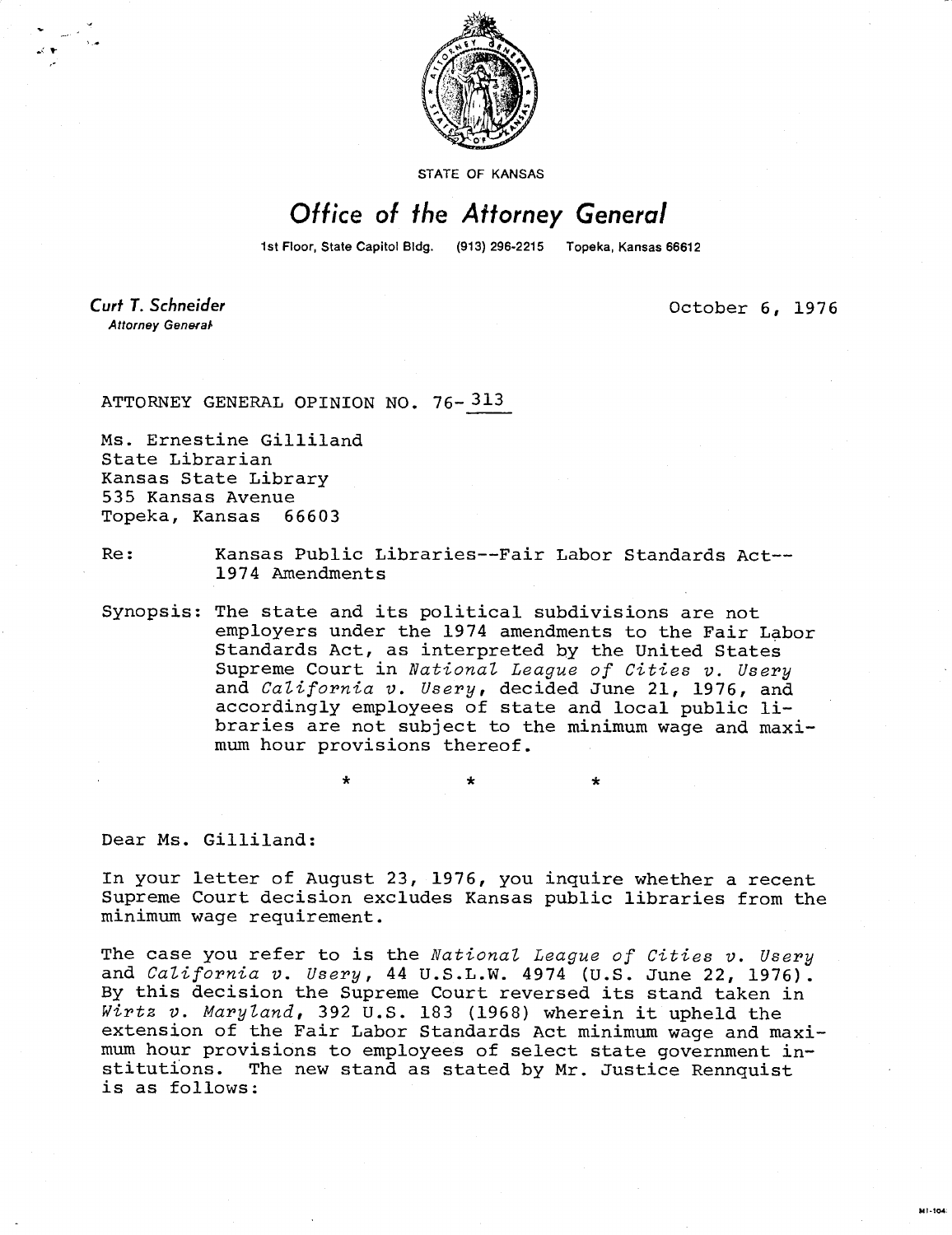

STATE OF KANSAS

## Office of the Attorney General

1st Floor, State Capitol Bldg. (913) 296-2215 Topeka, Kansas 66612

Curt T. Schneider Attorney General

October 6, 1976

ATTORNEY GENERAL OPINION NO. 76-313

Ms. Ernestine Gilliland State Librarian Kansas State Library 535 Kansas Avenue Topeka, Kansas 66603

Re: Kansas Public Libraries--Fair Labor Standards Act-- 1974 Amendments

Synopsis: The state and its political subdivisions are not employers under the 1974 amendments to the Fair Labor Standards Act, as interpreted by the United States Supreme Court in National League of Cities v. Usery and *California v. Usery*, decided June 21, 1976, and accordingly employees of state and local public libraries are not subject to the minimum wage and maximum hour provisions thereof.

Dear Ms. Gilliland:

In your letter of August 23, 1976, you inquire whether a recent Supreme Court decision excludes Kansas public libraries from the minimum wage requirement.

The case you refer to is the National League of Cities v. Usery and California v. Usery, 44 U.S.L.W. 4974 (U.S. June 22, 1976). By this decision the Supreme Court reversed its stand taken in Wirtz v. Maryland, 392 U.S. 183 (1968) wherein it upheld the extension of the Fair Labor Standards Act minimum wage and maximum hour provisions to employees of select state government institutions. The new stand as stated by Mr. Justice Rennquist is as follows: